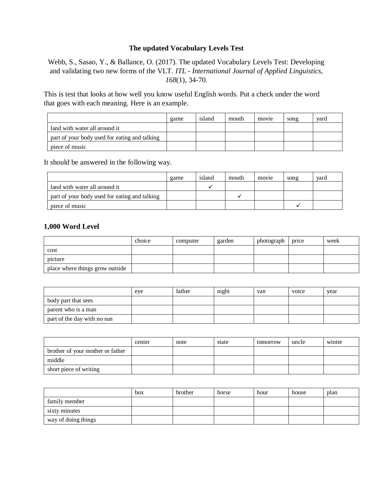### **The updated Vocabulary Levels Test**

Webb, S., Sasao, Y., & Ballance, O. (2017). The updated Vocabulary Levels Test: Developing and validating two new forms of the VLT. *ITL - International Journal of Applied Linguistics, 168*(1), 34-70.

This is test that looks at how well you know useful English words. Put a check under the word that goes with each meaning. Here is an example.

|                                               | game | island | mouth | movie | song | vard |
|-----------------------------------------------|------|--------|-------|-------|------|------|
| land with water all around it                 |      |        |       |       |      |      |
| part of your body used for eating and talking |      |        |       |       |      |      |
| piece of music                                |      |        |       |       |      |      |

It should be answered in the following way.

|                                               | game | island | mouth | movie | song | yard |
|-----------------------------------------------|------|--------|-------|-------|------|------|
| land with water all around it                 |      |        |       |       |      |      |
| part of your body used for eating and talking |      |        |       |       |      |      |
| piece of music                                |      |        |       |       |      |      |

|                                 | choice | computer | garden | photograph | price | week |
|---------------------------------|--------|----------|--------|------------|-------|------|
| cost                            |        |          |        |            |       |      |
| picture                         |        |          |        |            |       |      |
| place where things grow outside |        |          |        |            |       |      |

|                             | eve | father | night | van | voice | vear |
|-----------------------------|-----|--------|-------|-----|-------|------|
| body part that sees         |     |        |       |     |       |      |
| parent who is a man         |     |        |       |     |       |      |
| part of the day with no sun |     |        |       |     |       |      |

|                                  | center | note | state | tomorrow | uncle | winter |
|----------------------------------|--------|------|-------|----------|-------|--------|
| brother of your mother or father |        |      |       |          |       |        |
| middle                           |        |      |       |          |       |        |
| short piece of writing           |        |      |       |          |       |        |

|                     | box | brother | horse | hour | house | plan |
|---------------------|-----|---------|-------|------|-------|------|
| family member       |     |         |       |      |       |      |
| sixty minutes       |     |         |       |      |       |      |
| way of doing things |     |         |       |      |       |      |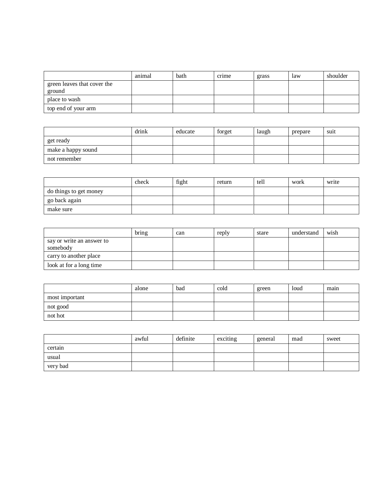|                                       | animal | bath | crime | grass | law | shoulder |
|---------------------------------------|--------|------|-------|-------|-----|----------|
| green leaves that cover the<br>ground |        |      |       |       |     |          |
| place to wash                         |        |      |       |       |     |          |
| top end of your arm                   |        |      |       |       |     |          |

|                    | drink | educate | forget | laugh | prepare | suit |
|--------------------|-------|---------|--------|-------|---------|------|
| get ready          |       |         |        |       |         |      |
| make a happy sound |       |         |        |       |         |      |
| not remember       |       |         |        |       |         |      |

|                        | check | fight | return | tell | work | write |
|------------------------|-------|-------|--------|------|------|-------|
| do things to get money |       |       |        |      |      |       |
| go back again          |       |       |        |      |      |       |
| make sure              |       |       |        |      |      |       |

|                                       | bring | can | reply | stare | understand | wish |
|---------------------------------------|-------|-----|-------|-------|------------|------|
| say or write an answer to<br>somebody |       |     |       |       |            |      |
| carry to another place                |       |     |       |       |            |      |
| look at for a long time               |       |     |       |       |            |      |

|                | alone | bad | cold | green | loud | main |
|----------------|-------|-----|------|-------|------|------|
| most important |       |     |      |       |      |      |
| not good       |       |     |      |       |      |      |
| not hot        |       |     |      |       |      |      |

|          | awful | definite | exciting | general | mad | sweet |
|----------|-------|----------|----------|---------|-----|-------|
| certain  |       |          |          |         |     |       |
| usual    |       |          |          |         |     |       |
| very bad |       |          |          |         |     |       |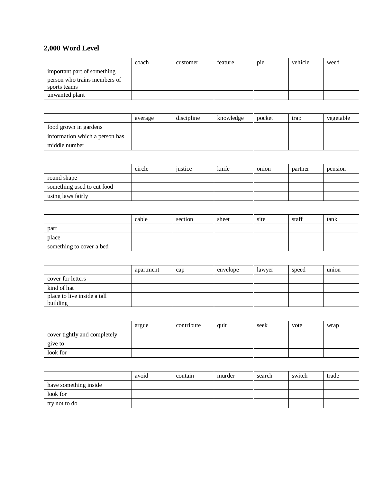|                                              | coach | customer | feature | <sub>pie</sub> | vehicle | weed |
|----------------------------------------------|-------|----------|---------|----------------|---------|------|
| important part of something                  |       |          |         |                |         |      |
| person who trains members of<br>sports teams |       |          |         |                |         |      |
| unwanted plant                               |       |          |         |                |         |      |

|                                | average | discipline | knowledge | pocket | trap | vegetable |
|--------------------------------|---------|------------|-----------|--------|------|-----------|
| food grown in gardens          |         |            |           |        |      |           |
| information which a person has |         |            |           |        |      |           |
| middle number                  |         |            |           |        |      |           |

|                            | circle | justice | knife | onion | partner | pension |
|----------------------------|--------|---------|-------|-------|---------|---------|
| round shape                |        |         |       |       |         |         |
| something used to cut food |        |         |       |       |         |         |
| using laws fairly          |        |         |       |       |         |         |

|                          | cable | section | sheet | site | staff | tank |
|--------------------------|-------|---------|-------|------|-------|------|
| part                     |       |         |       |      |       |      |
| place                    |       |         |       |      |       |      |
| something to cover a bed |       |         |       |      |       |      |

|                                         | apartment | cap | envelope | lawyer | speed | union |
|-----------------------------------------|-----------|-----|----------|--------|-------|-------|
| cover for letters                       |           |     |          |        |       |       |
| kind of hat                             |           |     |          |        |       |       |
| place to live inside a tall<br>building |           |     |          |        |       |       |

|                              | argue | contribute | quit | seek | vote | wrap |
|------------------------------|-------|------------|------|------|------|------|
| cover tightly and completely |       |            |      |      |      |      |
| give to                      |       |            |      |      |      |      |
| look for                     |       |            |      |      |      |      |

|                       | avoid | contain | murder | search | switch | trade |
|-----------------------|-------|---------|--------|--------|--------|-------|
| have something inside |       |         |        |        |        |       |
| look for              |       |         |        |        |        |       |
| try not to do         |       |         |        |        |        |       |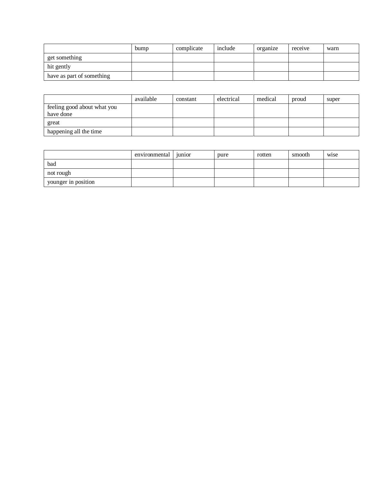|                           | bump | complicate | include | organize | receive | warn |
|---------------------------|------|------------|---------|----------|---------|------|
| get something             |      |            |         |          |         |      |
| hit gently                |      |            |         |          |         |      |
| have as part of something |      |            |         |          |         |      |

|                             | available | constant | electrical | medical | proud | super |
|-----------------------------|-----------|----------|------------|---------|-------|-------|
| feeling good about what you |           |          |            |         |       |       |
| have done                   |           |          |            |         |       |       |
| great                       |           |          |            |         |       |       |
| happening all the time      |           |          |            |         |       |       |

|                     | environmental | 1un10r | pure | rotten | smooth | wise |
|---------------------|---------------|--------|------|--------|--------|------|
| bad                 |               |        |      |        |        |      |
| not rough           |               |        |      |        |        |      |
| vounger in position |               |        |      |        |        |      |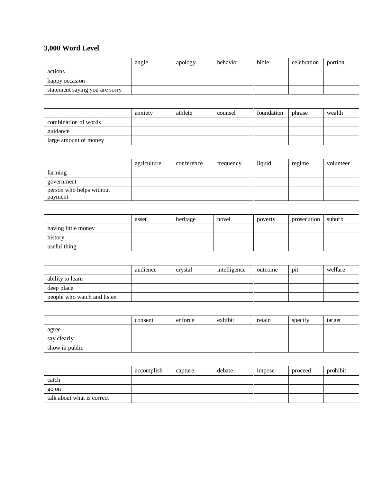|                                | angle | apology | behavior | bible | celebration | portion |
|--------------------------------|-------|---------|----------|-------|-------------|---------|
| actions                        |       |         |          |       |             |         |
| happy occasion                 |       |         |          |       |             |         |
| statement saying you are sorry |       |         |          |       |             |         |

|                       | anxiety | athlete | counsel | foundation | phrase | wealth |
|-----------------------|---------|---------|---------|------------|--------|--------|
| combination of words  |         |         |         |            |        |        |
| guidance              |         |         |         |            |        |        |
| large amount of money |         |         |         |            |        |        |

|                                     | agriculture | conference | frequency | liquid | regime | volunteer |
|-------------------------------------|-------------|------------|-----------|--------|--------|-----------|
| farming                             |             |            |           |        |        |           |
| government                          |             |            |           |        |        |           |
| person who helps without<br>payment |             |            |           |        |        |           |

|                     | asset | heritage | novel | poverty | prosecution | suburb |
|---------------------|-------|----------|-------|---------|-------------|--------|
| having little money |       |          |       |         |             |        |
| history             |       |          |       |         |             |        |
| useful thing        |       |          |       |         |             |        |

|                             | audience | crystal | intelligence | outcome | p <sub>1</sub> t | welfare |
|-----------------------------|----------|---------|--------------|---------|------------------|---------|
| ability to learn            |          |         |              |         |                  |         |
| deep place                  |          |         |              |         |                  |         |
| people who watch and listen |          |         |              |         |                  |         |

|                | consent | enforce | exhibit | retain | specify | target |
|----------------|---------|---------|---------|--------|---------|--------|
| agree          |         |         |         |        |         |        |
| say clearly    |         |         |         |        |         |        |
| show in public |         |         |         |        |         |        |

|                            | accomplish | capture | debate | <i>s impose</i> | proceed | prohibit |
|----------------------------|------------|---------|--------|-----------------|---------|----------|
| catch                      |            |         |        |                 |         |          |
| go on                      |            |         |        |                 |         |          |
| talk about what is correct |            |         |        |                 |         |          |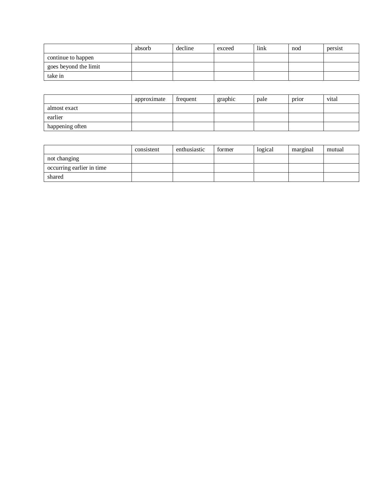|                       | absorb | decline | exceed | link | nod | persist |
|-----------------------|--------|---------|--------|------|-----|---------|
| continue to happen    |        |         |        |      |     |         |
| goes beyond the limit |        |         |        |      |     |         |
| take in               |        |         |        |      |     |         |

|                 | approximate | frequent | graphic | pale | prior | vital |
|-----------------|-------------|----------|---------|------|-------|-------|
| almost exact    |             |          |         |      |       |       |
| earlier         |             |          |         |      |       |       |
| happening often |             |          |         |      |       |       |

|                           | consistent | enthusiastic | former | logical | marginal | mutual |
|---------------------------|------------|--------------|--------|---------|----------|--------|
| not changing              |            |              |        |         |          |        |
| occurring earlier in time |            |              |        |         |          |        |
| shared                    |            |              |        |         |          |        |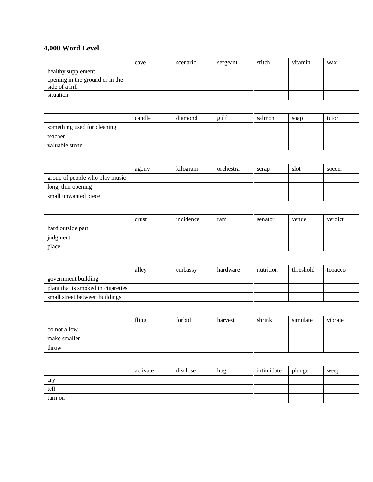|                                                   | cave | scenario | sergeant | stitch | vitamin | wax |
|---------------------------------------------------|------|----------|----------|--------|---------|-----|
| healthy supplement                                |      |          |          |        |         |     |
| opening in the ground or in the<br>side of a hill |      |          |          |        |         |     |
| situation                                         |      |          |          |        |         |     |

|                             | candle | diamond | gulf | salmon | soap | tutor |
|-----------------------------|--------|---------|------|--------|------|-------|
| something used for cleaning |        |         |      |        |      |       |
| teacher                     |        |         |      |        |      |       |
| valuable stone              |        |         |      |        |      |       |

|                                | agony | kilogram | orchestra | scrap | slot | soccer |
|--------------------------------|-------|----------|-----------|-------|------|--------|
| group of people who play music |       |          |           |       |      |        |
| long, thin opening             |       |          |           |       |      |        |
| small unwanted piece           |       |          |           |       |      |        |

|                   | crust | incidence | ram | senator | venue | verdict |
|-------------------|-------|-----------|-----|---------|-------|---------|
| hard outside part |       |           |     |         |       |         |
| judgment          |       |           |     |         |       |         |
| place             |       |           |     |         |       |         |

|                                    | alley | embassy | hardware | nutrition | threshold | tobacco |
|------------------------------------|-------|---------|----------|-----------|-----------|---------|
| government building                |       |         |          |           |           |         |
| plant that is smoked in cigarettes |       |         |          |           |           |         |
| small street between buildings     |       |         |          |           |           |         |

|              | fling | forbid | harvest | shrink | simulate | vibrate |
|--------------|-------|--------|---------|--------|----------|---------|
| do not allow |       |        |         |        |          |         |
| make smaller |       |        |         |        |          |         |
| throw        |       |        |         |        |          |         |

|            | activate | disclose | hug | intimidate | plunge | weep |
|------------|----------|----------|-----|------------|--------|------|
| <b>cry</b> |          |          |     |            |        |      |
| tell       |          |          |     |            |        |      |
| turn on    |          |          |     |            |        |      |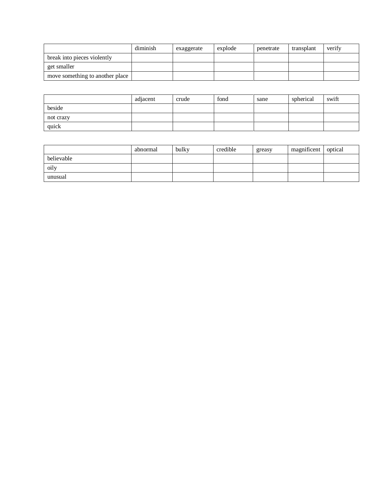|                                 | diminish | exaggerate | explode | penetrate | transplant | verify |
|---------------------------------|----------|------------|---------|-----------|------------|--------|
| break into pieces violently     |          |            |         |           |            |        |
| get smaller                     |          |            |         |           |            |        |
| move something to another place |          |            |         |           |            |        |

|           | adjacent | crude | fond | sane | spherical | swift |
|-----------|----------|-------|------|------|-----------|-------|
| beside    |          |       |      |      |           |       |
| not crazy |          |       |      |      |           |       |
| quick     |          |       |      |      |           |       |

|            | abnormal | bulky | credible | greasy | magnificent | optical |
|------------|----------|-------|----------|--------|-------------|---------|
| believable |          |       |          |        |             |         |
| oily       |          |       |          |        |             |         |
| unusual    |          |       |          |        |             |         |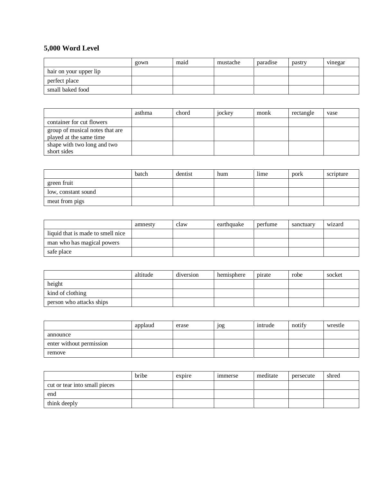|                        | gown | maid | mustache | paradise | pastry | vinegar |
|------------------------|------|------|----------|----------|--------|---------|
| hair on your upper lip |      |      |          |          |        |         |
| perfect place          |      |      |          |          |        |         |
| small baked food       |      |      |          |          |        |         |

|                                 | asthma | chord | jockey | monk | rectangle | vase |
|---------------------------------|--------|-------|--------|------|-----------|------|
| container for cut flowers       |        |       |        |      |           |      |
| group of musical notes that are |        |       |        |      |           |      |
| played at the same time         |        |       |        |      |           |      |
| shape with two long and two     |        |       |        |      |           |      |
| short sides                     |        |       |        |      |           |      |

|                     | batch | dentist | hum | lime | pork | scripture |
|---------------------|-------|---------|-----|------|------|-----------|
| green fruit         |       |         |     |      |      |           |
| low, constant sound |       |         |     |      |      |           |
| meat from pigs      |       |         |     |      |      |           |

|                                   | amnesty | claw | earthquake | perfume | sanctuary | wizard |
|-----------------------------------|---------|------|------------|---------|-----------|--------|
| liquid that is made to smell nice |         |      |            |         |           |        |
| man who has magical powers        |         |      |            |         |           |        |
| safe place                        |         |      |            |         |           |        |

|                          | altitude | diversion | hemisphere | pirate | robe | socket |
|--------------------------|----------|-----------|------------|--------|------|--------|
| height                   |          |           |            |        |      |        |
| kind of clothing         |          |           |            |        |      |        |
| person who attacks ships |          |           |            |        |      |        |

|                          | applaud | erase | jog | intrude | notify | wrestle |
|--------------------------|---------|-------|-----|---------|--------|---------|
| announce                 |         |       |     |         |        |         |
| enter without permission |         |       |     |         |        |         |
| remove                   |         |       |     |         |        |         |

|                               | bribe | expire | <i>s</i> 1mmerse | meditate | persecute | shred |
|-------------------------------|-------|--------|------------------|----------|-----------|-------|
| cut or tear into small pieces |       |        |                  |          |           |       |
| end                           |       |        |                  |          |           |       |
| think deeply                  |       |        |                  |          |           |       |